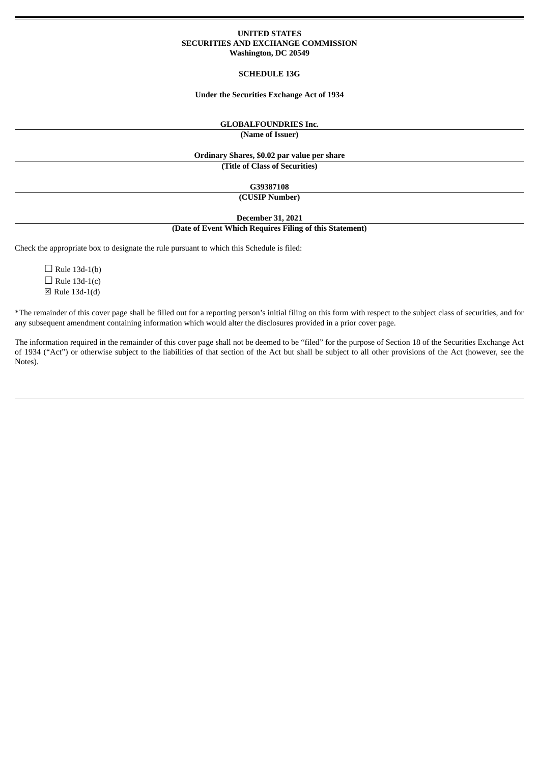### **UNITED STATES SECURITIES AND EXCHANGE COMMISSION Washington, DC 20549**

### **SCHEDULE 13G**

### **Under the Securities Exchange Act of 1934**

## **GLOBALFOUNDRIES Inc.**

**(Name of Issuer)**

## **Ordinary Shares, \$0.02 par value per share**

**(Title of Class of Securities)**

**G39387108**

**(CUSIP Number)**

**December 31, 2021**

### **(Date of Event Which Requires Filing of this Statement)**

Check the appropriate box to designate the rule pursuant to which this Schedule is filed:

 $\Box$  Rule 13d-1(b)  $\Box$  Rule 13d-1(c) ☒ Rule 13d-1(d)

\*The remainder of this cover page shall be filled out for a reporting person's initial filing on this form with respect to the subject class of securities, and for any subsequent amendment containing information which would alter the disclosures provided in a prior cover page.

The information required in the remainder of this cover page shall not be deemed to be "filed" for the purpose of Section 18 of the Securities Exchange Act of 1934 ("Act") or otherwise subject to the liabilities of that section of the Act but shall be subject to all other provisions of the Act (however, see the Notes).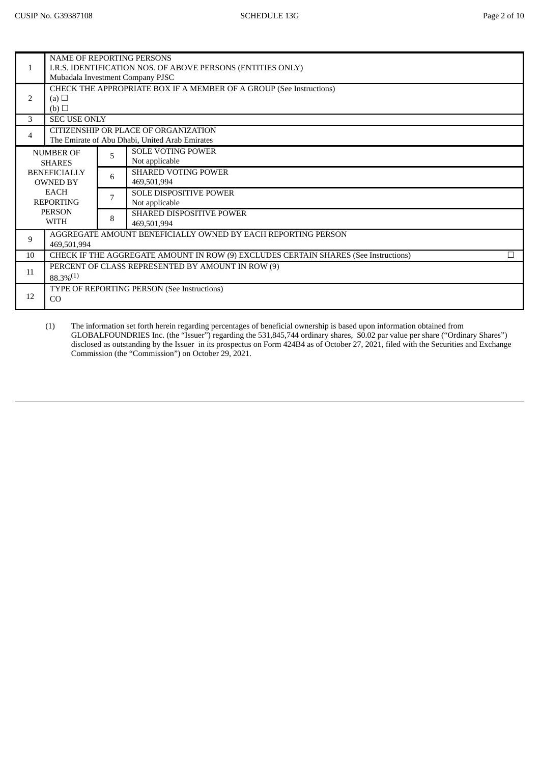|                                                                                           | NAME OF REPORTING PERSONS                                   |   |                                                              |  |  |  |  |
|-------------------------------------------------------------------------------------------|-------------------------------------------------------------|---|--------------------------------------------------------------|--|--|--|--|
| $\mathbf{1}$                                                                              | I.R.S. IDENTIFICATION NOS. OF ABOVE PERSONS (ENTITIES ONLY) |   |                                                              |  |  |  |  |
|                                                                                           | Mubadala Investment Company PJSC                            |   |                                                              |  |  |  |  |
|                                                                                           |                                                             |   |                                                              |  |  |  |  |
| CHECK THE APPROPRIATE BOX IF A MEMBER OF A GROUP (See Instructions)<br>2<br>(a) $\square$ |                                                             |   |                                                              |  |  |  |  |
|                                                                                           | (b)                                                         |   |                                                              |  |  |  |  |
| 3                                                                                         | <b>SEC USE ONLY</b>                                         |   |                                                              |  |  |  |  |
|                                                                                           |                                                             |   | CITIZENSHIP OR PLACE OF ORGANIZATION                         |  |  |  |  |
| $\overline{4}$                                                                            |                                                             |   | The Emirate of Abu Dhabi, United Arab Emirates               |  |  |  |  |
|                                                                                           | <b>NUMBER OF</b>                                            |   | <b>SOLE VOTING POWER</b>                                     |  |  |  |  |
|                                                                                           | <b>SHARES</b>                                               | 5 | Not applicable                                               |  |  |  |  |
|                                                                                           | <b>BENEFICIALLY</b>                                         | 6 | <b>SHARED VOTING POWER</b>                                   |  |  |  |  |
|                                                                                           | <b>OWNED BY</b>                                             |   | 469,501,994                                                  |  |  |  |  |
|                                                                                           | <b>EACH</b>                                                 | 7 | SOLE DISPOSITIVE POWER                                       |  |  |  |  |
|                                                                                           | <b>REPORTING</b>                                            |   | Not applicable                                               |  |  |  |  |
|                                                                                           | <b>PERSON</b>                                               | 8 | <b>SHARED DISPOSITIVE POWER</b>                              |  |  |  |  |
|                                                                                           | WITH                                                        |   | 469,501,994                                                  |  |  |  |  |
| 9                                                                                         |                                                             |   | AGGREGATE AMOUNT BENEFICIALLY OWNED BY EACH REPORTING PERSON |  |  |  |  |
|                                                                                           | 469,501,994                                                 |   |                                                              |  |  |  |  |
| CHECK IF THE AGGREGATE AMOUNT IN ROW (9) EXCLUDES CERTAIN SHARES (See Instructions)<br>10 |                                                             |   |                                                              |  |  |  |  |
| 11                                                                                        | PERCENT OF CLASS REPRESENTED BY AMOUNT IN ROW (9)           |   |                                                              |  |  |  |  |
|                                                                                           | $88.3\%^{(1)}$                                              |   |                                                              |  |  |  |  |
|                                                                                           | TYPE OF REPORTING PERSON (See Instructions)                 |   |                                                              |  |  |  |  |
| 12                                                                                        | CO                                                          |   |                                                              |  |  |  |  |
|                                                                                           |                                                             |   |                                                              |  |  |  |  |

(1) The information set forth herein regarding percentages of beneficial ownership is based upon information obtained from GLOBALFOUNDRIES Inc. (the "Issuer") regarding the 531,845,744 ordinary shares, \$0.02 par value per share ("Ordinary Shares") disclosed as outstanding by the Issuer in its prospectus on Form 424B4 as of October 27, 2021, filed with the Securities and Exchange Commission (the "Commission") on October 29, 2021.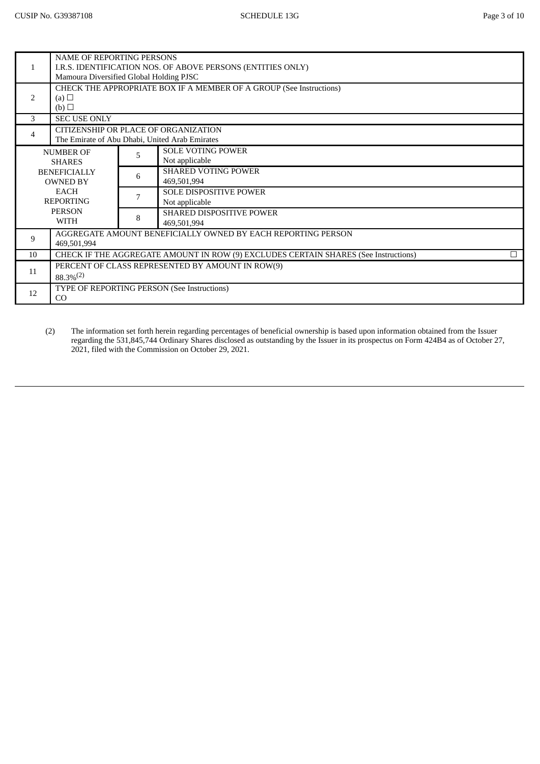|                          | <b>NAME OF REPORTING PERSONS</b><br>I.R.S. IDENTIFICATION NOS. OF ABOVE PERSONS (ENTITIES ONLY)<br>Mamoura Diversified Global Holding PJSC |                                                  |                                 |  |  |  |
|--------------------------|--------------------------------------------------------------------------------------------------------------------------------------------|--------------------------------------------------|---------------------------------|--|--|--|
|                          | CHECK THE APPROPRIATE BOX IF A MEMBER OF A GROUP (See Instructions)                                                                        |                                                  |                                 |  |  |  |
| $\mathcal{P}$            | (a) $\Box$                                                                                                                                 |                                                  |                                 |  |  |  |
|                          | (b)                                                                                                                                        |                                                  |                                 |  |  |  |
| 3                        | <b>SEC USE ONLY</b>                                                                                                                        |                                                  |                                 |  |  |  |
|                          | CITIZENSHIP OR PLACE OF ORGANIZATION                                                                                                       |                                                  |                                 |  |  |  |
| $\overline{\mathcal{A}}$ | The Emirate of Abu Dhabi, United Arab Emirates                                                                                             |                                                  |                                 |  |  |  |
|                          | <b>NUMBER OF</b>                                                                                                                           | 5                                                | <b>SOLE VOTING POWER</b>        |  |  |  |
|                          | <b>SHARES</b><br><b>BENEFICIALLY</b><br><b>OWNED BY</b><br><b>EACH</b>                                                                     |                                                  | Not applicable                  |  |  |  |
|                          |                                                                                                                                            |                                                  | <b>SHARED VOTING POWER</b>      |  |  |  |
|                          |                                                                                                                                            |                                                  | 469,501,994                     |  |  |  |
|                          |                                                                                                                                            |                                                  | <b>SOLE DISPOSITIVE POWER</b>   |  |  |  |
|                          | <b>REPORTING</b>                                                                                                                           |                                                  | Not applicable                  |  |  |  |
|                          | <b>PERSON</b>                                                                                                                              |                                                  | <b>SHARED DISPOSITIVE POWER</b> |  |  |  |
|                          | <b>WITH</b>                                                                                                                                | 8                                                | 469,501,994                     |  |  |  |
| 9                        | AGGREGATE AMOUNT BENEFICIALLY OWNED BY EACH REPORTING PERSON                                                                               |                                                  |                                 |  |  |  |
|                          | 469,501,994                                                                                                                                |                                                  |                                 |  |  |  |
| 10                       | CHECK IF THE AGGREGATE AMOUNT IN ROW (9) EXCLUDES CERTAIN SHARES (See Instructions)<br>□                                                   |                                                  |                                 |  |  |  |
| 11                       |                                                                                                                                            | PERCENT OF CLASS REPRESENTED BY AMOUNT IN ROW(9) |                                 |  |  |  |
|                          | $88.3\%^{(2)}$                                                                                                                             |                                                  |                                 |  |  |  |
| 12                       | TYPE OF REPORTING PERSON (See Instructions)                                                                                                |                                                  |                                 |  |  |  |
|                          | CO                                                                                                                                         |                                                  |                                 |  |  |  |
|                          |                                                                                                                                            |                                                  |                                 |  |  |  |

(2) The information set forth herein regarding percentages of beneficial ownership is based upon information obtained from the Issuer regarding the 531,845,744 Ordinary Shares disclosed as outstanding by the Issuer in its prospectus on Form 424B4 as of October 27, 2021, filed with the Commission on October 29, 2021.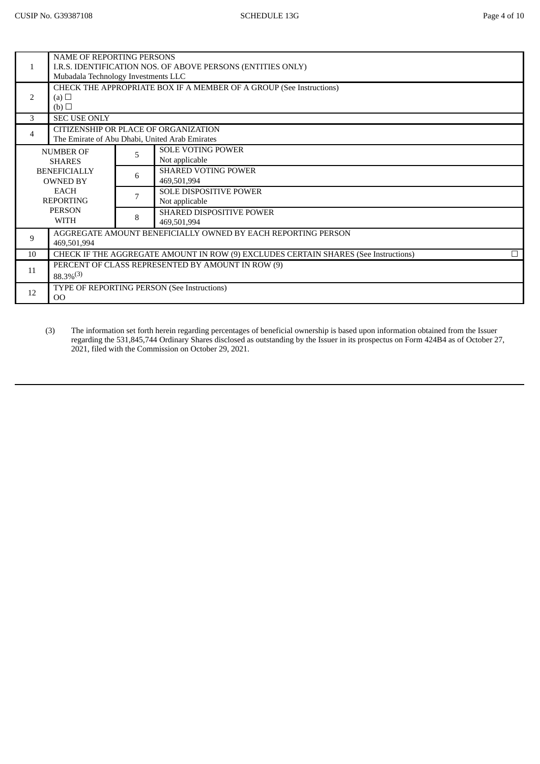|               | <b>NAME OF REPORTING PERSONS</b>                                                    |                                      |                                                              |  |  |  |  |
|---------------|-------------------------------------------------------------------------------------|--------------------------------------|--------------------------------------------------------------|--|--|--|--|
| $\mathbf{1}$  | I.R.S. IDENTIFICATION NOS. OF ABOVE PERSONS (ENTITIES ONLY)                         |                                      |                                                              |  |  |  |  |
|               | Mubadala Technology Investments LLC                                                 |                                      |                                                              |  |  |  |  |
|               | CHECK THE APPROPRIATE BOX IF A MEMBER OF A GROUP (See Instructions)                 |                                      |                                                              |  |  |  |  |
| $\mathcal{P}$ | (a) $\square$                                                                       |                                      |                                                              |  |  |  |  |
|               | (b)                                                                                 |                                      |                                                              |  |  |  |  |
| 3             | <b>SEC USE ONLY</b>                                                                 |                                      |                                                              |  |  |  |  |
| 4             |                                                                                     | CITIZENSHIP OR PLACE OF ORGANIZATION |                                                              |  |  |  |  |
|               | The Emirate of Abu Dhabi, United Arab Emirates                                      |                                      |                                                              |  |  |  |  |
|               | <b>NUMBER OF</b>                                                                    | 5                                    | <b>SOLE VOTING POWER</b>                                     |  |  |  |  |
|               | <b>SHARES</b>                                                                       |                                      | Not applicable                                               |  |  |  |  |
|               | <b>BENEFICIALLY</b>                                                                 |                                      | <b>SHARED VOTING POWER</b>                                   |  |  |  |  |
|               | <b>OWNED BY</b>                                                                     | 6                                    | 469,501,994                                                  |  |  |  |  |
|               | EACH                                                                                | 7                                    | <b>SOLE DISPOSITIVE POWER</b>                                |  |  |  |  |
|               | <b>REPORTING</b>                                                                    |                                      | Not applicable                                               |  |  |  |  |
|               | <b>PERSON</b>                                                                       | 8                                    | <b>SHARED DISPOSITIVE POWER</b>                              |  |  |  |  |
|               | <b>WITH</b>                                                                         |                                      | 469,501,994                                                  |  |  |  |  |
| 9             |                                                                                     |                                      | AGGREGATE AMOUNT BENEFICIALLY OWNED BY EACH REPORTING PERSON |  |  |  |  |
|               | 469,501,994                                                                         |                                      |                                                              |  |  |  |  |
| 10            | CHECK IF THE AGGREGATE AMOUNT IN ROW (9) EXCLUDES CERTAIN SHARES (See Instructions) |                                      |                                                              |  |  |  |  |
|               | PERCENT OF CLASS REPRESENTED BY AMOUNT IN ROW (9)                                   |                                      |                                                              |  |  |  |  |
| 11            | $88.3\%^{(3)}$                                                                      |                                      |                                                              |  |  |  |  |
|               | TYPE OF REPORTING PERSON (See Instructions)                                         |                                      |                                                              |  |  |  |  |
| 12            | 00                                                                                  |                                      |                                                              |  |  |  |  |
|               |                                                                                     |                                      |                                                              |  |  |  |  |

(3) The information set forth herein regarding percentages of beneficial ownership is based upon information obtained from the Issuer regarding the 531,845,744 Ordinary Shares disclosed as outstanding by the Issuer in its prospectus on Form 424B4 as of October 27, 2021, filed with the Commission on October 29, 2021.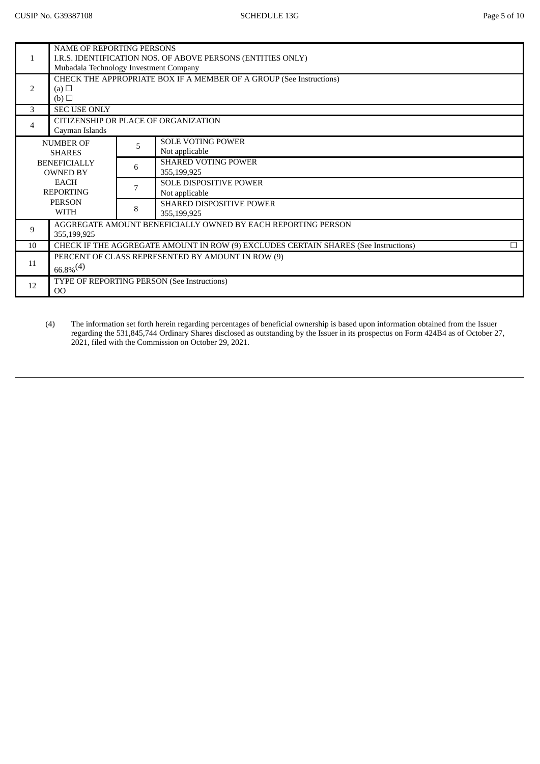| I.R.S. IDENTIFICATION NOS. OF ABOVE PERSONS (ENTITIES ONLY)<br>$\mathbf{1}$<br>Mubadala Technology Investment Company<br>CHECK THE APPROPRIATE BOX IF A MEMBER OF A GROUP (See Instructions)<br>$\mathcal{P}$<br>(a) $\Box$<br>(b)<br><b>SEC USE ONLY</b><br>3<br>CITIZENSHIP OR PLACE OF ORGANIZATION<br>4<br>Cayman Islands<br><b>SOLE VOTING POWER</b><br><b>NUMBER OF</b><br>5<br>Not applicable<br><b>SHARES</b><br><b>SHARED VOTING POWER</b><br><b>BENEFICIALLY</b><br>6<br>355,199,925<br><b>OWNED BY</b><br><b>EACH</b><br><b>SOLE DISPOSITIVE POWER</b><br>7<br><b>REPORTING</b><br>Not applicable<br><b>PERSON</b><br><b>SHARED DISPOSITIVE POWER</b><br>8<br><b>WITH</b><br>355,199,925<br>AGGREGATE AMOUNT BENEFICIALLY OWNED BY EACH REPORTING PERSON<br>9<br>355,199,925<br>CHECK IF THE AGGREGATE AMOUNT IN ROW (9) EXCLUDES CERTAIN SHARES (See Instructions)<br>10<br>П<br>PERCENT OF CLASS REPRESENTED BY AMOUNT IN ROW (9)<br>11<br>$66.8\%^{(4)}$<br>TYPE OF REPORTING PERSON (See Instructions)<br>12<br>O <sub>O</sub> |                           |  |  |  |  |  |
|-----------------------------------------------------------------------------------------------------------------------------------------------------------------------------------------------------------------------------------------------------------------------------------------------------------------------------------------------------------------------------------------------------------------------------------------------------------------------------------------------------------------------------------------------------------------------------------------------------------------------------------------------------------------------------------------------------------------------------------------------------------------------------------------------------------------------------------------------------------------------------------------------------------------------------------------------------------------------------------------------------------------------------------------------|---------------------------|--|--|--|--|--|
|                                                                                                                                                                                                                                                                                                                                                                                                                                                                                                                                                                                                                                                                                                                                                                                                                                                                                                                                                                                                                                               | NAME OF REPORTING PERSONS |  |  |  |  |  |
|                                                                                                                                                                                                                                                                                                                                                                                                                                                                                                                                                                                                                                                                                                                                                                                                                                                                                                                                                                                                                                               |                           |  |  |  |  |  |
|                                                                                                                                                                                                                                                                                                                                                                                                                                                                                                                                                                                                                                                                                                                                                                                                                                                                                                                                                                                                                                               |                           |  |  |  |  |  |
|                                                                                                                                                                                                                                                                                                                                                                                                                                                                                                                                                                                                                                                                                                                                                                                                                                                                                                                                                                                                                                               |                           |  |  |  |  |  |
|                                                                                                                                                                                                                                                                                                                                                                                                                                                                                                                                                                                                                                                                                                                                                                                                                                                                                                                                                                                                                                               |                           |  |  |  |  |  |
|                                                                                                                                                                                                                                                                                                                                                                                                                                                                                                                                                                                                                                                                                                                                                                                                                                                                                                                                                                                                                                               |                           |  |  |  |  |  |
|                                                                                                                                                                                                                                                                                                                                                                                                                                                                                                                                                                                                                                                                                                                                                                                                                                                                                                                                                                                                                                               |                           |  |  |  |  |  |
|                                                                                                                                                                                                                                                                                                                                                                                                                                                                                                                                                                                                                                                                                                                                                                                                                                                                                                                                                                                                                                               |                           |  |  |  |  |  |
|                                                                                                                                                                                                                                                                                                                                                                                                                                                                                                                                                                                                                                                                                                                                                                                                                                                                                                                                                                                                                                               |                           |  |  |  |  |  |
|                                                                                                                                                                                                                                                                                                                                                                                                                                                                                                                                                                                                                                                                                                                                                                                                                                                                                                                                                                                                                                               |                           |  |  |  |  |  |
|                                                                                                                                                                                                                                                                                                                                                                                                                                                                                                                                                                                                                                                                                                                                                                                                                                                                                                                                                                                                                                               |                           |  |  |  |  |  |
|                                                                                                                                                                                                                                                                                                                                                                                                                                                                                                                                                                                                                                                                                                                                                                                                                                                                                                                                                                                                                                               |                           |  |  |  |  |  |
|                                                                                                                                                                                                                                                                                                                                                                                                                                                                                                                                                                                                                                                                                                                                                                                                                                                                                                                                                                                                                                               |                           |  |  |  |  |  |
|                                                                                                                                                                                                                                                                                                                                                                                                                                                                                                                                                                                                                                                                                                                                                                                                                                                                                                                                                                                                                                               |                           |  |  |  |  |  |
|                                                                                                                                                                                                                                                                                                                                                                                                                                                                                                                                                                                                                                                                                                                                                                                                                                                                                                                                                                                                                                               |                           |  |  |  |  |  |
|                                                                                                                                                                                                                                                                                                                                                                                                                                                                                                                                                                                                                                                                                                                                                                                                                                                                                                                                                                                                                                               |                           |  |  |  |  |  |
|                                                                                                                                                                                                                                                                                                                                                                                                                                                                                                                                                                                                                                                                                                                                                                                                                                                                                                                                                                                                                                               |                           |  |  |  |  |  |
|                                                                                                                                                                                                                                                                                                                                                                                                                                                                                                                                                                                                                                                                                                                                                                                                                                                                                                                                                                                                                                               |                           |  |  |  |  |  |
|                                                                                                                                                                                                                                                                                                                                                                                                                                                                                                                                                                                                                                                                                                                                                                                                                                                                                                                                                                                                                                               |                           |  |  |  |  |  |
|                                                                                                                                                                                                                                                                                                                                                                                                                                                                                                                                                                                                                                                                                                                                                                                                                                                                                                                                                                                                                                               |                           |  |  |  |  |  |
|                                                                                                                                                                                                                                                                                                                                                                                                                                                                                                                                                                                                                                                                                                                                                                                                                                                                                                                                                                                                                                               |                           |  |  |  |  |  |
|                                                                                                                                                                                                                                                                                                                                                                                                                                                                                                                                                                                                                                                                                                                                                                                                                                                                                                                                                                                                                                               |                           |  |  |  |  |  |
|                                                                                                                                                                                                                                                                                                                                                                                                                                                                                                                                                                                                                                                                                                                                                                                                                                                                                                                                                                                                                                               |                           |  |  |  |  |  |
|                                                                                                                                                                                                                                                                                                                                                                                                                                                                                                                                                                                                                                                                                                                                                                                                                                                                                                                                                                                                                                               |                           |  |  |  |  |  |
|                                                                                                                                                                                                                                                                                                                                                                                                                                                                                                                                                                                                                                                                                                                                                                                                                                                                                                                                                                                                                                               |                           |  |  |  |  |  |

(4) The information set forth herein regarding percentages of beneficial ownership is based upon information obtained from the Issuer regarding the 531,845,744 Ordinary Shares disclosed as outstanding by the Issuer in its prospectus on Form 424B4 as of October 27, 2021, filed with the Commission on October 29, 2021.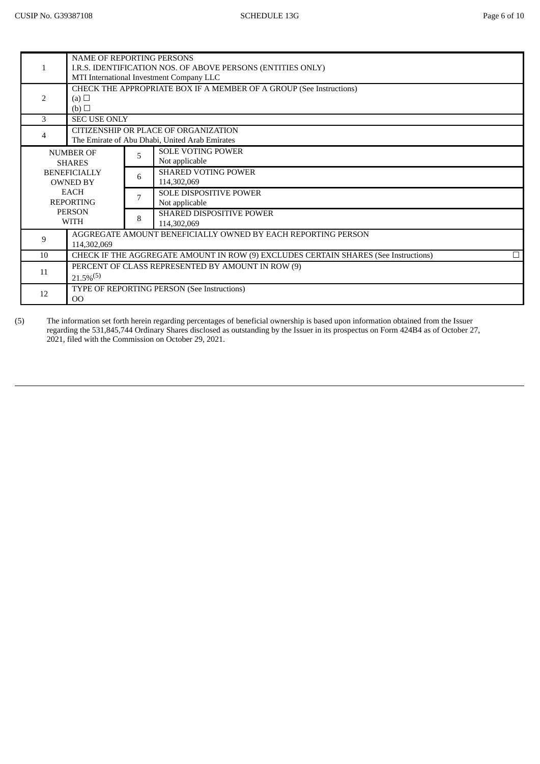|               | <b>NAME OF REPORTING PERSONS</b>                                    |                                                                                     |                                 |  |  |  |
|---------------|---------------------------------------------------------------------|-------------------------------------------------------------------------------------|---------------------------------|--|--|--|
|               | I.R.S. IDENTIFICATION NOS. OF ABOVE PERSONS (ENTITIES ONLY)         |                                                                                     |                                 |  |  |  |
|               | MTI International Investment Company LLC                            |                                                                                     |                                 |  |  |  |
|               | CHECK THE APPROPRIATE BOX IF A MEMBER OF A GROUP (See Instructions) |                                                                                     |                                 |  |  |  |
| $\mathcal{P}$ | (a) $\square$                                                       |                                                                                     |                                 |  |  |  |
|               | (b)                                                                 |                                                                                     |                                 |  |  |  |
| 3             | <b>SEC USE ONLY</b>                                                 |                                                                                     |                                 |  |  |  |
|               | CITIZENSHIP OR PLACE OF ORGANIZATION                                |                                                                                     |                                 |  |  |  |
| 4             | The Emirate of Abu Dhabi, United Arab Emirates                      |                                                                                     |                                 |  |  |  |
|               | <b>NUMBER OF</b>                                                    |                                                                                     | <b>SOLE VOTING POWER</b>        |  |  |  |
|               | <b>SHARES</b>                                                       | 5                                                                                   | Not applicable                  |  |  |  |
|               | <b>BENEFICIALLY</b><br><b>OWNED BY</b>                              | 6                                                                                   | <b>SHARED VOTING POWER</b>      |  |  |  |
|               |                                                                     |                                                                                     | 114,302,069                     |  |  |  |
|               | <b>EACH</b>                                                         |                                                                                     | <b>SOLE DISPOSITIVE POWER</b>   |  |  |  |
|               | <b>REPORTING</b>                                                    |                                                                                     | Not applicable                  |  |  |  |
|               | <b>PERSON</b>                                                       |                                                                                     | <b>SHARED DISPOSITIVE POWER</b> |  |  |  |
|               | <b>WITH</b>                                                         | 8                                                                                   | 114,302,069                     |  |  |  |
|               | AGGREGATE AMOUNT BENEFICIALLY OWNED BY EACH REPORTING PERSON        |                                                                                     |                                 |  |  |  |
| 9             | 114,302,069                                                         |                                                                                     |                                 |  |  |  |
| 10            |                                                                     | CHECK IF THE AGGREGATE AMOUNT IN ROW (9) EXCLUDES CERTAIN SHARES (See Instructions) |                                 |  |  |  |
|               | PERCENT OF CLASS REPRESENTED BY AMOUNT IN ROW (9)                   |                                                                                     |                                 |  |  |  |
| 11            | $21.5\%^{(5)}$                                                      |                                                                                     |                                 |  |  |  |
|               | TYPE OF REPORTING PERSON (See Instructions)                         |                                                                                     |                                 |  |  |  |
| 12            | 0 <sup>0</sup>                                                      |                                                                                     |                                 |  |  |  |

(5) The information set forth herein regarding percentages of beneficial ownership is based upon information obtained from the Issuer regarding the 531,845,744 Ordinary Shares disclosed as outstanding by the Issuer in its prospectus on Form 424B4 as of October 27, 2021, filed with the Commission on October 29, 2021.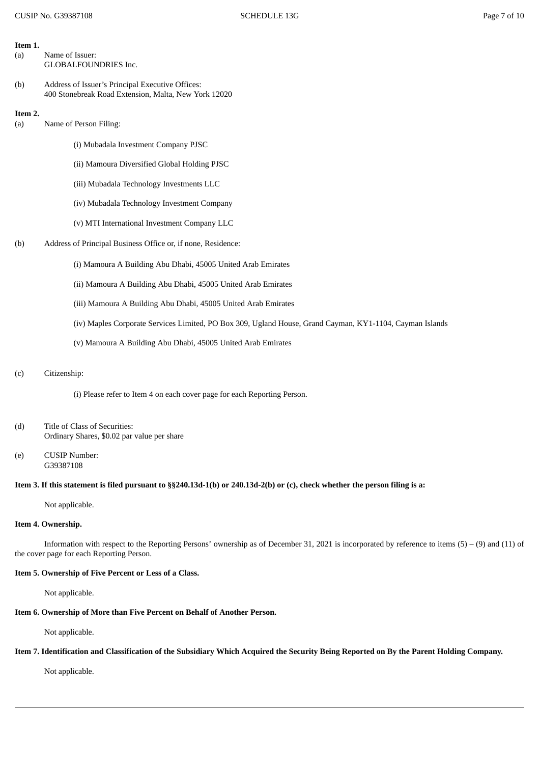## **Item 1.**

- (a) Name of Issuer: GLOBALFOUNDRIES Inc.
- (b) Address of Issuer's Principal Executive Offices: 400 Stonebreak Road Extension, Malta, New York 12020

#### **Item 2.**

- (a) Name of Person Filing:
	- (i) Mubadala Investment Company PJSC
	- (ii) Mamoura Diversified Global Holding PJSC
	- (iii) Mubadala Technology Investments LLC
	- (iv) Mubadala Technology Investment Company
	- (v) MTI International Investment Company LLC
- (b) Address of Principal Business Office or, if none, Residence:
	- (i) Mamoura A Building Abu Dhabi, 45005 United Arab Emirates
	- (ii) Mamoura A Building Abu Dhabi, 45005 United Arab Emirates
	- (iii) Mamoura A Building Abu Dhabi, 45005 United Arab Emirates
	- (iv) Maples Corporate Services Limited, PO Box 309, Ugland House, Grand Cayman, KY1-1104, Cayman Islands
	- (v) Mamoura A Building Abu Dhabi, 45005 United Arab Emirates

#### (c) Citizenship:

- (i) Please refer to Item 4 on each cover page for each Reporting Person.
- (d) Title of Class of Securities: Ordinary Shares, \$0.02 par value per share
- (e) CUSIP Number: G39387108

### Item 3. If this statement is filed pursuant to §§240.13d-1(b) or 240.13d-2(b) or (c), check whether the person filing is a:

Not applicable.

### **Item 4. Ownership.**

Information with respect to the Reporting Persons' ownership as of December 31, 2021 is incorporated by reference to items (5) – (9) and (11) of the cover page for each Reporting Person.

## **Item 5. Ownership of Five Percent or Less of a Class.**

Not applicable.

## **Item 6. Ownership of More than Five Percent on Behalf of Another Person.**

Not applicable.

## Item 7. Identification and Classification of the Subsidiary Which Acquired the Security Being Reported on By the Parent Holding Company.

Not applicable.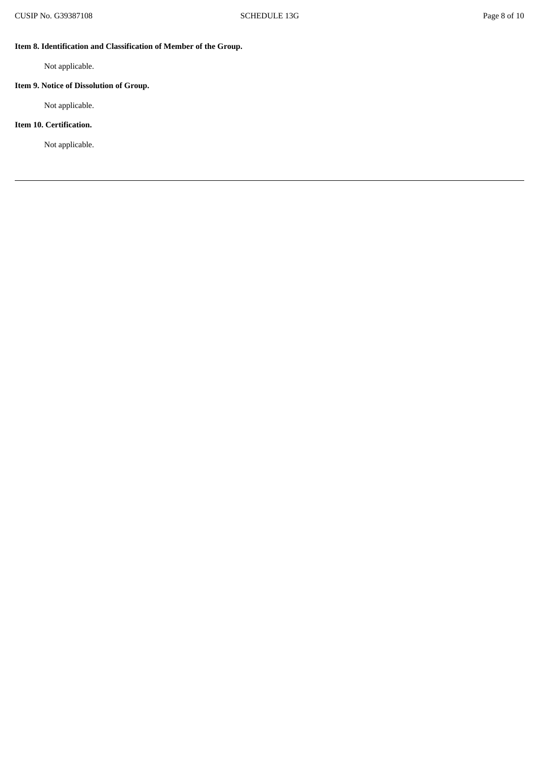# **Item 8. Identification and Classification of Member of the Group.**

Not applicable.

# **Item 9. Notice of Dissolution of Group.**

Not applicable.

# **Item 10. Certification.**

Not applicable.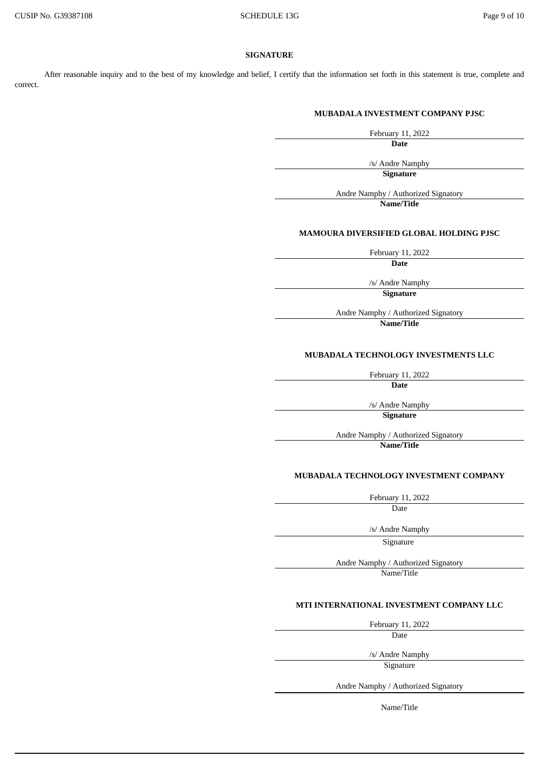## **SIGNATURE**

After reasonable inquiry and to the best of my knowledge and belief, I certify that the information set forth in this statement is true, complete and correct.

### **MUBADALA INVESTMENT COMPANY PJSC**

February 11, 2022

**Date**

/s/ Andre Namphy

**Signature**

Andre Namphy / Authorized Signatory

**Name/Title**

## **MAMOURA DIVERSIFIED GLOBAL HOLDING PJSC**

February 11, 2022

**Date**

/s/ Andre Namphy

**Signature**

Andre Namphy / Authorized Signatory

**Name/Title**

# **MUBADALA TECHNOLOGY INVESTMENTS LLC**

February 11, 2022

**Date**

/s/ Andre Namphy

**Signature**

Andre Namphy / Authorized Signatory **Name/Title**

**MUBADALA TECHNOLOGY INVESTMENT COMPANY**

February 11, 2022

Date

/s/ Andre Namphy

Signature

Andre Namphy / Authorized Signatory

Name/Title

# **MTI INTERNATIONAL INVESTMENT COMPANY LLC**

February 11, 2022

Date

/s/ Andre Namphy

Signature

Andre Namphy / Authorized Signatory

Name/Title